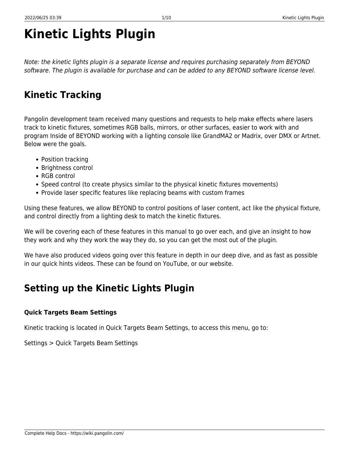# **Kinetic Lights Plugin**

Note: the kinetic lights plugin is a separate license and requires purchasing separately from BEYOND software. The plugin is available for purchase and can be added to any BEYOND software license level.

# **Kinetic Tracking**

Pangolin development team received many questions and requests to help make effects where lasers track to kinetic fixtures, sometimes RGB balls, mirrors, or other surfaces, easier to work with and program Inside of BEYOND working with a lighting console like GrandMA2 or Madrix, over DMX or Artnet. Below were the goals.

- Position tracking
- Brightness control
- RGB control
- Speed control (to create physics similar to the physical kinetic fixtures movements)
- Provide laser specific features like replacing beams with custom frames

Using these features, we allow BEYOND to control positions of laser content, act like the physical fixture, and control directly from a lighting desk to match the kinetic fixtures.

We will be covering each of these features in this manual to go over each, and give an insight to how they work and why they work the way they do, so you can get the most out of the plugin.

We have also produced videos going over this feature in depth in our deep dive, and as fast as possible in our quick hints videos. These can be found on YouTube, or our website.

# **Setting up the Kinetic Lights Plugin**

#### **Quick Targets Beam Settings**

Kinetic tracking is located in Quick Targets Beam Settings, to access this menu, go to:

Settings > Quick Targets Beam Settings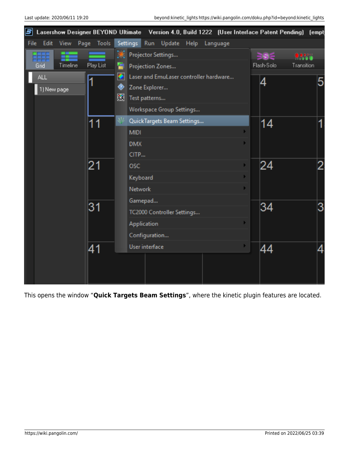| Е                                     | Lasershow Designer BEYOND Ultimate Version 4.0, Build 1222 (User Interface Patent Pending) (empt |                                       |
|---------------------------------------|--------------------------------------------------------------------------------------------------|---------------------------------------|
| Edit<br>Tools<br>File<br>View<br>Page | <b>Settings</b><br>Run<br>Update<br>Help<br>Language                                             |                                       |
|                                       | Ж.<br>Projector Settings                                                                         | ∋6∈<br>$\bullet\bullet\bullet\bullet$ |
| Play List<br>Timeline<br>Grid         | Ð<br>Projection Zones                                                                            | Flash-Solo<br>Transition              |
| <b>ALL</b><br>1                       | $\bullet$<br>Laser and EmuLaser controller hardware                                              | 4<br>5                                |
| 1) New page                           | ◈<br>Zone Explorer                                                                               |                                       |
|                                       | 圕<br>Test patterns                                                                               |                                       |
|                                       | Workspace Group Settings                                                                         |                                       |
| 11                                    | <b>AV</b><br>QuickTargets Beam Settings                                                          | 14<br>1                               |
|                                       | <b>MIDI</b>                                                                                      |                                       |
|                                       | <b>DMX</b>                                                                                       |                                       |
|                                       | CITP                                                                                             |                                       |
| 21                                    | <b>OSC</b>                                                                                       | 24<br>2                               |
|                                       | Keyboard                                                                                         |                                       |
|                                       | Network                                                                                          |                                       |
|                                       | Gamepad                                                                                          |                                       |
| 31                                    | TC2000 Controller Settings                                                                       | 34<br>3                               |
|                                       | Application                                                                                      |                                       |
|                                       | Configuration                                                                                    |                                       |
| 41                                    | User interface                                                                                   | 44                                    |
|                                       |                                                                                                  |                                       |
|                                       |                                                                                                  |                                       |
|                                       |                                                                                                  |                                       |

This opens the window "**Quick Targets Beam Settings**", where the kinetic plugin features are located.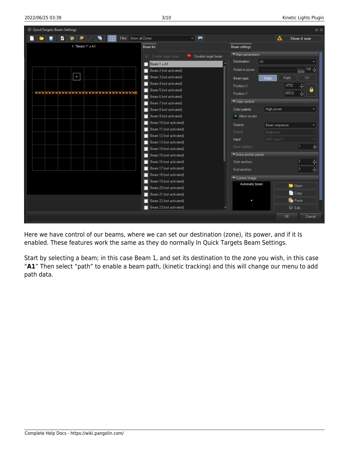

Here we have control of our beams, where we can set our destination (zone), its power, and if it Is enabled. These features work the same as they do normally In Quick Targets Beam Settings.

Start by selecting a beam; in this case Beam 1, and set its destination to the zone you wish, in this case "**A1**" Then select "path" to enable a beam path, (kinetic tracking) and this will change our menu to add path data.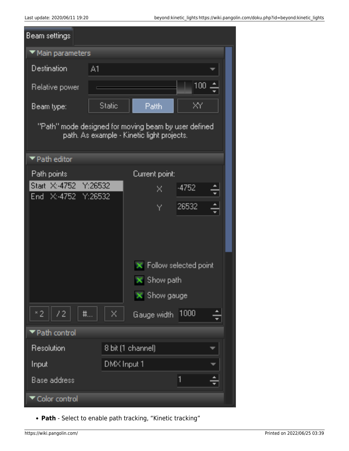| Beam settings                                                                                       |                   |                       |     |  |  |
|-----------------------------------------------------------------------------------------------------|-------------------|-----------------------|-----|--|--|
| ▼ Main parameters                                                                                   |                   |                       |     |  |  |
| Destination                                                                                         | A1                |                       |     |  |  |
| Relative power                                                                                      |                   |                       | 100 |  |  |
| Beam type:                                                                                          | <b>Static</b>     | <b>Patth</b>          | ΧY  |  |  |
| "Path" mode designed for moving beam by user defined.<br>path. As example - Kinetic light projects. |                   |                       |     |  |  |
| $\blacktriangledown$ Path editor                                                                    |                   |                       |     |  |  |
| Path points                                                                                         |                   | Current point:        |     |  |  |
| Start X: 4752 Y: 26532                                                                              |                   | -4752<br>×            |     |  |  |
| End X:-4752 Y:26532                                                                                 |                   |                       |     |  |  |
|                                                                                                     |                   | 26532<br>Υ            |     |  |  |
|                                                                                                     |                   |                       |     |  |  |
|                                                                                                     |                   | Follow selected point |     |  |  |
|                                                                                                     |                   | Show path             |     |  |  |
|                                                                                                     |                   | $\bar{x}$ Show gauge  |     |  |  |
| $^*$ 2<br>72<br>井…                                                                                  | X                 | Gauge width 1000      |     |  |  |
| ▼ Path control                                                                                      |                   |                       |     |  |  |
| Resolution                                                                                          | 8 bit (1 channel) |                       |     |  |  |
| Input                                                                                               | DMX Input 1       |                       |     |  |  |
| Base address                                                                                        |                   | 1                     |     |  |  |
| Color control                                                                                       |                   |                       |     |  |  |

**Path** - Select to enable path tracking, "Kinetic tracking"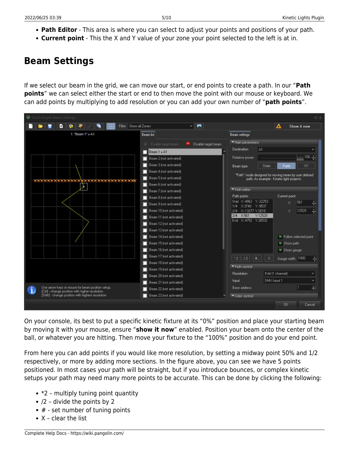- **Path Editor** This area is where you can select to adjust your points and positions of your path.
- **Current point** This the X and Y value of your zone your point selected to the left is at in.

#### **Beam Settings**

If we select our beam in the grid, we can move our start, or end points to create a path. In our "**Path points**" we can select either the start or end to then move the point with our mouse or keyboard. We can add points by multiplying to add resolution or you can add your own number of "**path points**".



On your console, its best to put a specific kinetic fixture at its "0%" position and place your starting beam by moving it with your mouse, ensure "**show it now**" enabled. Position your beam onto the center of the ball, or whatever you are hitting. Then move your fixture to the "100%" position and do your end point.

From here you can add points if you would like more resolution, by setting a midway point 50% and 1/2 respectively, or more by adding more sections. In the figure above, you can see we have 5 points positioned. In most cases your path will be straight, but if you introduce bounces, or complex kinetic setups your path may need many more points to be accurate. This can be done by clicking the following:

- $\bullet$  \*2 multiply tuning point quantity
- $\bullet$  /2 divide the points by 2
- $\bullet$  # set number of tuning points
- $\bullet$  X clear the list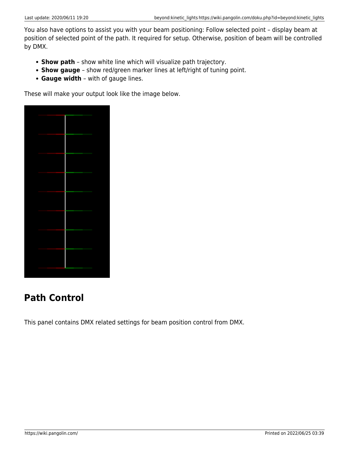You also have options to assist you with your beam positioning: Follow selected point – display beam at position of selected point of the path. It required for setup. Otherwise, position of beam will be controlled by DMX.

- **Show path** show white line which will visualize path trajectory.
- **Show gauge** show red/green marker lines at left/right of tuning point.
- **Gauge width** with of gauge lines.

These will make your output look like the image below.



# **Path Control**

This panel contains DMX related settings for beam position control from DMX.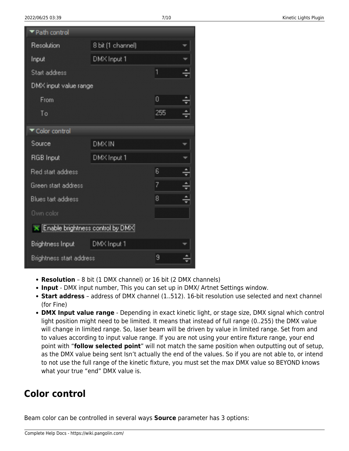| ▼ Path control                     |                   |     |  |  |  |
|------------------------------------|-------------------|-----|--|--|--|
| Resolution                         | 8 bit (1 channel) |     |  |  |  |
| Input                              | DMX Input 1       |     |  |  |  |
| Start address                      |                   | 1   |  |  |  |
| DMX input value range              |                   |     |  |  |  |
| From                               |                   | 0   |  |  |  |
| To                                 |                   | 255 |  |  |  |
| Color control                      |                   |     |  |  |  |
| Source                             | DMX IN            |     |  |  |  |
| RGB Input                          | DMX Input 1       |     |  |  |  |
| Red start address                  |                   | 6   |  |  |  |
| Green start address                |                   | 7   |  |  |  |
| Blues tart address                 |                   | 8   |  |  |  |
| Own color                          |                   |     |  |  |  |
| X Enable brightness control by DMX |                   |     |  |  |  |
| Brightness Input                   | DMX Input 1       |     |  |  |  |
| Brightness start address           |                   | 9   |  |  |  |

- **Resolution** 8 bit (1 DMX channel) or 16 bit (2 DMX channels)
- **Input** DMX input number, This you can set up in DMX/ Artnet Settings window.
- **Start address** address of DMX channel (1..512). 16-bit resolution use selected and next channel (for Fine)
- **DMX Input value range** Depending in exact kinetic light, or stage size, DMX signal which control light position might need to be limited. It means that instead of full range (0..255) the DMX value will change in limited range. So, laser beam will be driven by value in limited range. Set from and to values according to input value range. If you are not using your entire fixture range, your end point with "**follow selected point**" will not match the same position when outputting out of setup, as the DMX value being sent Isn't actually the end of the values. So if you are not able to, or intend to not use the full range of the kinetic fixture, you must set the max DMX value so BEYOND knows what your true "end" DMX value is.

### **Color control**

Beam color can be controlled in several ways **Source** parameter has 3 options: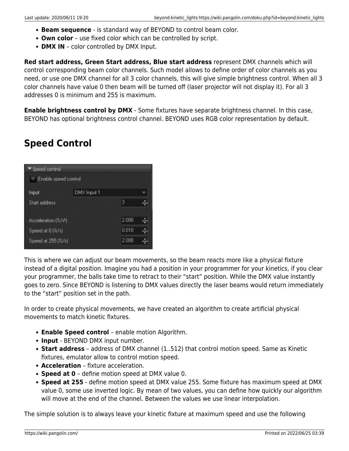- **Beam sequence** is standard way of BEYOND to control beam color.
- **Own color** use fixed color which can be controlled by script.
- **DMX IN** color controlled by DMX Input.

**Red start address, Green Start address, Blue start address** represent DMX channels which will control corresponding beam color channels. Such model allows to define order of color channels as you need, or use one DMX channel for all 3 color channels, this will give simple brightness control. When all 3 color channels have value 0 then beam will be turned off (laser projector will not display it). For all 3 addresses 0 is minimum and 255 is maximum.

**Enable brightness control by DMX** - Some fixtures have separate brightness channel. In this case, BEYOND has optional brightness control channel. BEYOND uses RGB color representation by default.

# **Speed Control**

| Speed control                    |             |       |   |  |  |  |
|----------------------------------|-------------|-------|---|--|--|--|
| Enable speed control             |             |       |   |  |  |  |
| Input                            | DMX Input 1 |       |   |  |  |  |
| Start address                    |             | 3     |   |  |  |  |
| Acceleration [%/s <sup>2</sup> ] |             | 2.000 |   |  |  |  |
| Speed at 0 [%/s]                 |             | 0.010 | ∸ |  |  |  |
| Speed at 255 (%/s)               |             | 2.000 |   |  |  |  |

This is where we can adjust our beam movements, so the beam reacts more like a physical fixture instead of a digital position. Imagine you had a position in your programmer for your kinetics, if you clear your programmer, the balls take time to retract to their "start" position. While the DMX value instantly goes to zero. Since BEYOND is listening to DMX values directly the laser beams would return immediately to the "start" position set in the path.

In order to create physical movements, we have created an algorithm to create artificial physical movements to match kinetic fixtures.

- **Enable Speed control** enable motion Algorithm.
- **Input** BEYOND DMX input number.
- **Start address** address of DMX channel (1..512) that control motion speed. Same as Kinetic fixtures, emulator allow to control motion speed.
- **Acceleration** fixture acceleration.
- **Speed at 0** define motion speed at DMX value 0.
- **Speed at 255** define motion speed at DMX value 255. Some fixture has maximum speed at DMX value 0, some use inverted logic. By mean of two values, you can define how quickly our algorithm will move at the end of the channel. Between the values we use linear interpolation.

The simple solution is to always leave your kinetic fixture at maximum speed and use the following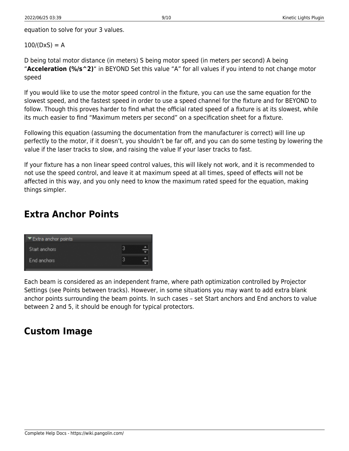equation to solve for your 3 values.

#### $100/(DxS) = A$

D being total motor distance (in meters) S being motor speed (in meters per second) A being "**Acceleration (%/s^2)**" in BEYOND Set this value "A" for all values if you intend to not change motor speed

If you would like to use the motor speed control in the fixture, you can use the same equation for the slowest speed, and the fastest speed in order to use a speed channel for the fixture and for BEYOND to follow. Though this proves harder to find what the official rated speed of a fixture is at its slowest, while its much easier to find "Maximum meters per second" on a specification sheet for a fixture.

Following this equation (assuming the documentation from the manufacturer is correct) will line up perfectly to the motor, if it doesn't, you shouldn't be far off, and you can do some testing by lowering the value if the laser tracks to slow, and raising the value If your laser tracks to fast.

If your fixture has a non linear speed control values, this will likely not work, and it is recommended to not use the speed control, and leave it at maximum speed at all times, speed of effects will not be affected in this way, and you only need to know the maximum rated speed for the equation, making things simpler.

### **Extra Anchor Points**



Each beam is considered as an independent frame, where path optimization controlled by Projector Settings (see Points between tracks). However, in some situations you may want to add extra blank anchor points surrounding the beam points. In such cases – set Start anchors and End anchors to value between 2 and 5, it should be enough for typical protectors.

### **Custom Image**